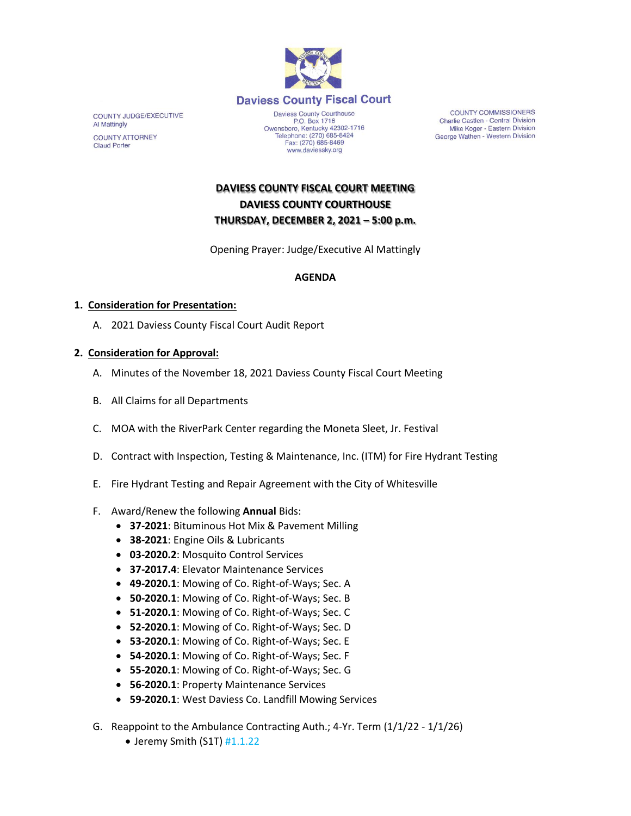

COUNTY JUDGE/EXECUTIVE Al Mattingly **COUNTY ATTORNEY Claud Porter** 

P.O. Box 1716<br>Owensboro, Kentucky 42302-1716<br>Telephone: (270) 685-8424 Fax: (270) 685-8469 www.daviessky.org

COUNTY COMMISSIONERS Charlie Castlen - Central Division Mike Koger - Eastern Division George Wathen - Western Division

**DAVIESS COUNTY FISCAL COURT MEETING DAVIESS COUNTY COURTHOUSE THURSDAY, DECEMBER 2, 2021 – 5:00 p.m.** 

Opening Prayer: Judge/Executive Al Mattingly

# **AGENDA**

## **1. Consideration for Presentation:**

A. 2021 Daviess County Fiscal Court Audit Report

## **2. Consideration for Approval:**

- A. Minutes of the November 18, 2021 Daviess County Fiscal Court Meeting
- B. All Claims for all Departments
- C. MOA with the RiverPark Center regarding the Moneta Sleet, Jr. Festival
- D. Contract with Inspection, Testing & Maintenance, Inc. (ITM) for Fire Hydrant Testing
- E. Fire Hydrant Testing and Repair Agreement with the City of Whitesville
- F. Award/Renew the following **Annual** Bids:
	- **37-2021**: Bituminous Hot Mix & Pavement Milling
	- **38-2021**: Engine Oils & Lubricants
	- **03-2020.2**: Mosquito Control Services
	- **37-2017.4**: Elevator Maintenance Services
	- **49-2020.1**: Mowing of Co. Right-of-Ways; Sec. A
	- **50-2020.1**: Mowing of Co. Right-of-Ways; Sec. B
	- **51-2020.1**: Mowing of Co. Right-of-Ways; Sec. C
	- **52-2020.1**: Mowing of Co. Right-of-Ways; Sec. D
	- **53-2020.1**: Mowing of Co. Right-of-Ways; Sec. E
	- **54-2020.1**: Mowing of Co. Right-of-Ways; Sec. F
	- **55-2020.1**: Mowing of Co. Right-of-Ways; Sec. G
	- **56-2020.1**: Property Maintenance Services
	- **59-2020.1**: West Daviess Co. Landfill Mowing Services
- G. Reappoint to the Ambulance Contracting Auth.; 4-Yr. Term (1/1/22 1/1/26)
	- Jeremy Smith (S1T) #1.1.22